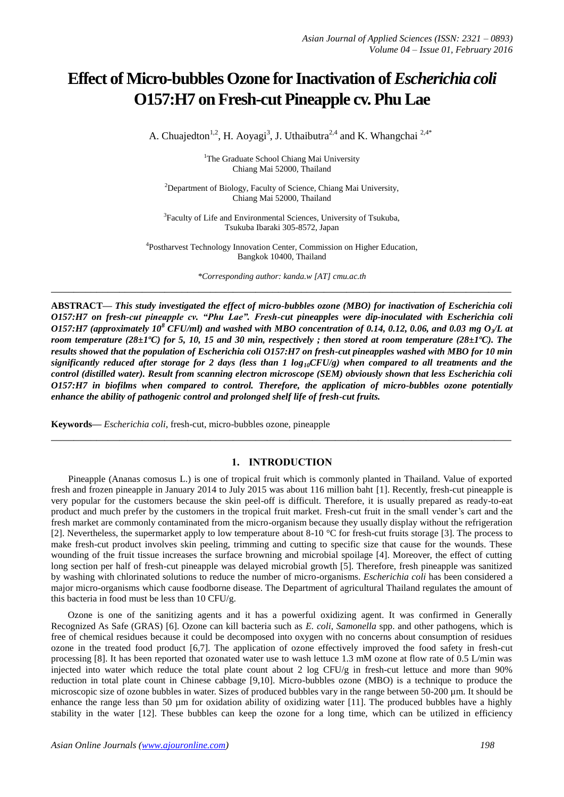# **Effect of Micro-bubbles Ozone for Inactivation of** *Escherichia coli* **O157:H7 on Fresh-cut Pineapple cv. Phu Lae**

A. Chuajedton<sup>1,2</sup>, H. Aoyagi<sup>3</sup>, J. Uthaibutra<sup>2,4</sup> and K. Whangchai<sup>2,4\*</sup>

<sup>1</sup>The Graduate School Chiang Mai University Chiang Mai 52000, Thailand

<sup>2</sup>Department of Biology, Faculty of Science, Chiang Mai University, Chiang Mai 52000, Thailand

<sup>3</sup> Faculty of Life and Environmental Sciences, University of Tsukuba, Tsukuba Ibaraki 305-8572, Japan

<sup>4</sup>Postharvest Technology Innovation Center, Commission on Higher Education, Bangkok 10400, Thailand

*\*Corresponding author: kanda.w [AT] cmu.ac.th* **\_\_\_\_\_\_\_\_\_\_\_\_\_\_\_\_\_\_\_\_\_\_\_\_\_\_\_\_\_\_\_\_\_\_\_\_\_\_\_\_\_\_\_\_\_\_\_\_\_\_\_\_\_\_\_\_\_\_\_\_\_\_\_\_\_\_\_\_\_\_\_\_\_\_\_\_\_\_\_\_\_**

**ABSTRACT—** *This study investigated the effect of micro-bubbles ozone (MBO) for inactivation of Escherichia coli O157:H7 on fresh-cut pineapple cv. "Phu Lae". Fresh-cut pineapples were dip-inoculated with Escherichia coli O157:H7 (approximately 10<sup>8</sup> CFU/ml) and washed with MBO concentration of 0.14, 0.12, 0.06, and 0.03 mg O<sub>3</sub>/<i>L* at *room temperature (28±1ºC) for 5, 10, 15 and 30 min, respectively ; then stored at room temperature (28±1ºC). The results showed that the population of Escherichia coli O157:H7 on fresh-cut pineapples washed with MBO for 10 min significantly reduced after storage for 2 days (less than 1 log10CFU/g) when compared to all treatments and the control (distilled water). Result from scanning electron microscope (SEM) obviously shown that less Escherichia coli O157:H7 in biofilms when compared to control. Therefore, the application of micro-bubbles ozone potentially enhance the ability of pathogenic control and prolonged shelf life of fresh-cut fruits.*

**Keywords—** *Escherichia coli*, fresh-cut, micro-bubbles ozone, pineapple

## **1. INTRODUCTION**

**\_\_\_\_\_\_\_\_\_\_\_\_\_\_\_\_\_\_\_\_\_\_\_\_\_\_\_\_\_\_\_\_\_\_\_\_\_\_\_\_\_\_\_\_\_\_\_\_\_\_\_\_\_\_\_\_\_\_\_\_\_\_\_\_\_\_\_\_\_\_\_\_\_\_\_\_\_\_\_\_\_**

Pineapple (Ananas comosus L.) is one of tropical fruit which is commonly planted in Thailand. Value of exported fresh and frozen pineapple in January 2014 to July 2015 was about 116 million baht [1]. Recently, fresh-cut pineapple is very popular for the customers because the skin peel-off is difficult. Therefore, it is usually prepared as ready-to-eat product and much prefer by the customers in the tropical fruit market. Fresh-cut fruit in the small vender's cart and the fresh market are commonly contaminated from the micro-organism because they usually display without the refrigeration [2]. Nevertheless, the supermarket apply to low temperature about 8-10 °C for fresh-cut fruits storage [3]. The process to make fresh-cut product involves skin peeling, trimming and cutting to specific size that cause for the wounds. These wounding of the fruit tissue increases the surface browning and microbial spoilage [4]. Moreover, the effect of cutting long section per half of fresh-cut pineapple was delayed microbial growth [5]. Therefore, fresh pineapple was sanitized by washing with chlorinated solutions to reduce the number of micro-organisms. *Escherichia coli* has been considered a major micro-organisms which cause foodborne disease. The Department of agricultural Thailand regulates the amount of this bacteria in food must be less than 10 CFU/g.

 Ozone is one of the sanitizing agents and it has a powerful oxidizing agent. It was confirmed in Generally Recognized As Safe (GRAS) [6]. Ozone can kill bacteria such as *E. coli*, *Samonella* spp. and other pathogens, which is free of chemical residues because it could be decomposed into oxygen with no concerns about consumption of residues ozone in the treated food product [6,7]. The application of ozone effectively improved the food safety in fresh-cut processing [8]. It has been reported that ozonated water use to wash lettuce 1.3 mM ozone at flow rate of 0.5 L/min was injected into water which reduce the total plate count about 2 log CFU/g in fresh-cut lettuce and more than 90% reduction in total plate count in Chinese cabbage [9,10]. Micro-bubbles ozone (MBO) is a technique to produce the microscopic size of ozone bubbles in water. Sizes of produced bubbles vary in the range between 50-200 µm. It should be enhance the range less than 50 µm for oxidation ability of oxidizing water [11]. The produced bubbles have a highly stability in the water [12]. These bubbles can keep the ozone for a long time, which can be utilized in efficiency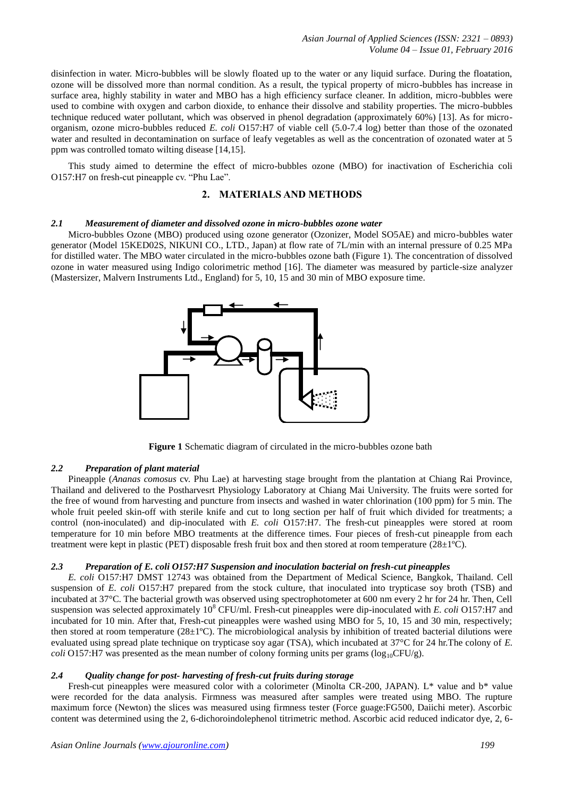*Asian Journal of Applied Sciences (ISSN: 2321 – 0893) Volume 04 – Issue 01, February 2016*

disinfection in water. Micro-bubbles will be slowly floated up to the water or any liquid surface. During the floatation, ozone will be dissolved more than normal condition. As a result, the typical property of micro-bubbles has increase in surface area, highly stability in water and MBO has a high efficiency surface cleaner. In addition, micro-bubbles were used to combine with oxygen and carbon dioxide, to enhance their dissolve and stability properties. The micro-bubbles technique reduced water pollutant, which was observed in phenol degradation (approximately 60%) [13]. As for microorganism, ozone micro-bubbles reduced *E. coli* O157:H7 of viable cell (5.0-7.4 log) better than those of the ozonated water and resulted in decontamination on surface of leafy vegetables as well as the concentration of ozonated water at 5 ppm was controlled tomato wilting disease [14,15].

This study aimed to determine the effect of micro-bubbles ozone (MBO) for inactivation of Escherichia coli O157:H7 on fresh-cut pineapple cv. "Phu Lae".

## **2. MATERIALS AND METHODS**

## *2.1 Measurement of diameter and dissolved ozone in micro-bubbles ozone water*

Micro-bubbles Ozone (MBO) produced using ozone generator (Ozonizer, Model SO5AE) and micro-bubbles water generator (Model 15KED02S, NIKUNI CO., LTD., Japan) at flow rate of 7L/min with an internal pressure of 0.25 MPa for distilled water. The MBO water circulated in the micro-bubbles ozone bath (Figure 1). The concentration of dissolved ozone in water measured using Indigo colorimetric method [16]. The diameter was measured by particle-size analyzer (Mastersizer, Malvern Instruments Ltd., England) for 5, 10, 15 and 30 min of MBO exposure time.



**Figure 1** Schematic diagram of circulated in the micro-bubbles ozone bath

## *2.2 Preparation of plant material*

Pineapple (*Ananas comosus* cv. Phu Lae) at harvesting stage brought from the plantation at Chiang Rai Province, Thailand and delivered to the Postharvesrt Physiology Laboratory at Chiang Mai University. The fruits were sorted for the free of wound from harvesting and puncture from insects and washed in water chlorination (100 ppm) for 5 min. The whole fruit peeled skin-off with sterile knife and cut to long section per half of fruit which divided for treatments; a control (non-inoculated) and dip-inoculated with *E. coli* O157:H7. The fresh-cut pineapples were stored at room temperature for 10 min before MBO treatments at the difference times. Four pieces of fresh-cut pineapple from each treatment were kept in plastic (PET) disposable fresh fruit box and then stored at room temperature (28±1ºC).

## *2.3 Preparation of E. coli O157:H7 Suspension and inoculation bacterial on fresh-cut pineapples*

*E. coli* O157:H7 DMST 12743 was obtained from the Department of Medical Science, Bangkok, Thailand. Cell suspension of *E. coli* O157:H7 prepared from the stock culture, that inoculated into trypticase soy broth (TSB) and incubated at 37°C. The bacterial growth was observed using spectrophotometer at 600 nm every 2 hr for 24 hr. Then, Cell suspension was selected approximately 10<sup>8</sup> CFU/ml. Fresh-cut pineapples were dip-inoculated with *E. coli* O157:H7 and incubated for 10 min. After that, Fresh-cut pineapples were washed using MBO for 5, 10, 15 and 30 min, respectively; then stored at room temperature  $(28\pm1^{\circ}C)$ . The microbiological analysis by inhibition of treated bacterial dilutions were evaluated using spread plate technique on trypticase soy agar (TSA), which incubated at 37°C for 24 hr.The colony of *E. coli* O157:H7 was presented as the mean number of colony forming units per grams ( $log_{10}CFU/g$ ).

#### *2.4 Quality change for post- harvesting of fresh-cut fruits during storage*

Fresh-cut pineapples were measured color with a colorimeter (Minolta CR-200, JAPAN). L\* value and b\* value were recorded for the data analysis. Firmness was measured after samples were treated using MBO. The rupture maximum force (Newton) the slices was measured using firmness tester (Force guage:FG500, Daiichi meter). Ascorbic content was determined using the 2, 6-dichoroindolephenol titrimetric method. Ascorbic acid reduced indicator dye, 2, 6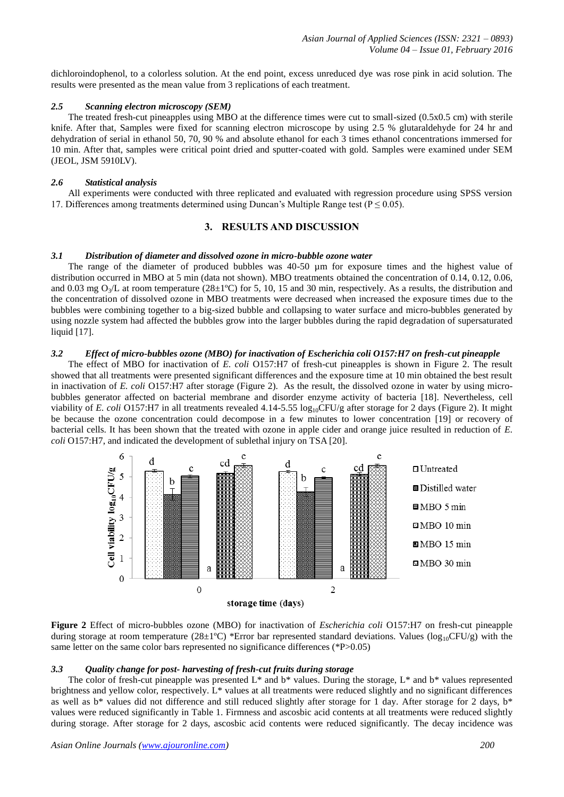dichloroindophenol, to a colorless solution. At the end point, excess unreduced dye was rose pink in acid solution. The results were presented as the mean value from 3 replications of each treatment.

## *2.5 Scanning electron microscopy (SEM)*

The treated fresh-cut pineapples using MBO at the difference times were cut to small-sized (0.5x0.5 cm) with sterile knife. After that, Samples were fixed for scanning electron microscope by using 2.5 % glutaraldehyde for 24 hr and dehydration of serial in ethanol 50, 70, 90 % and absolute ethanol for each 3 times ethanol concentrations immersed for 10 min. After that, samples were critical point dried and sputter-coated with gold. Samples were examined under SEM (JEOL, JSM 5910LV).

#### *2.6 Statistical analysis*

All experiments were conducted with three replicated and evaluated with regression procedure using SPSS version 17. Differences among treatments determined using Duncan's Multiple Range test ( $P \le 0.05$ ).

## **3. RESULTS AND DISCUSSION**

## *3.1 Distribution of diameter and dissolved ozone in micro-bubble ozone water*

The range of the diameter of produced bubbles was 40-50  $\mu$ m for exposure times and the highest value of distribution occurred in MBO at 5 min (data not shown). MBO treatments obtained the concentration of 0.14, 0.12, 0.06, and 0.03 mg  $O<sub>3</sub>/L$  at room temperature (28 $\pm$ 1°C) for 5, 10, 15 and 30 min, respectively. As a results, the distribution and the concentration of dissolved ozone in MBO treatments were decreased when increased the exposure times due to the bubbles were combining together to a big-sized bubble and collapsing to water surface and micro-bubbles generated by using nozzle system had affected the bubbles grow into the larger bubbles during the rapid degradation of supersaturated liquid [17].

## *3.2 Effect of micro-bubbles ozone (MBO) for inactivation of Escherichia coli O157:H7 on fresh-cut pineapple*

The effect of MBO for inactivation of *E. coli* O157:H7 of fresh-cut pineapples is shown in Figure 2. The result showed that all treatments were presented significant differences and the exposure time at 10 min obtained the best result in inactivation of *E. coli* O157:H7 after storage (Figure 2). As the result, the dissolved ozone in water by using microbubbles generator affected on bacterial membrane and disorder enzyme activity of bacteria [18]. Nevertheless, cell viability of *E. coli* O157:H7 in all treatments revealed 4.14-5.55 log<sub>10</sub>CFU/g after storage for 2 days (Figure 2). It might be because the ozone concentration could decompose in a few minutes to lower concentration [19] or recovery of bacterial cells. It has been shown that the treated with ozone in apple cider and orange juice resulted in reduction of *E. coli* O157:H7, and indicated the development of sublethal injury on TSA [20].



**Figure 2** Effect of micro-bubbles ozone (MBO) for inactivation of *Escherichia coli* O157:H7 on fresh-cut pineapple during storage at room temperature (28±1°C) \*Error bar represented standard deviations. Values ( $log_{10}$ CFU/g) with the same letter on the same color bars represented no significance differences (\*P>0.05)

## *3.3 Quality change for post- harvesting of fresh-cut fruits during storage*

The color of fresh-cut pineapple was presented L\* and b\* values. During the storage, L\* and b\* values represented brightness and yellow color, respectively. L\* values at all treatments were reduced slightly and no significant differences as well as  $b^*$  values did not difference and still reduced slightly after storage for 1 day. After storage for 2 days,  $b^*$ values were reduced significantly in Table 1. Firmness and ascosbic acid contents at all treatments were reduced slightly during storage. After storage for 2 days, ascosbic acid contents were reduced significantly. The decay incidence was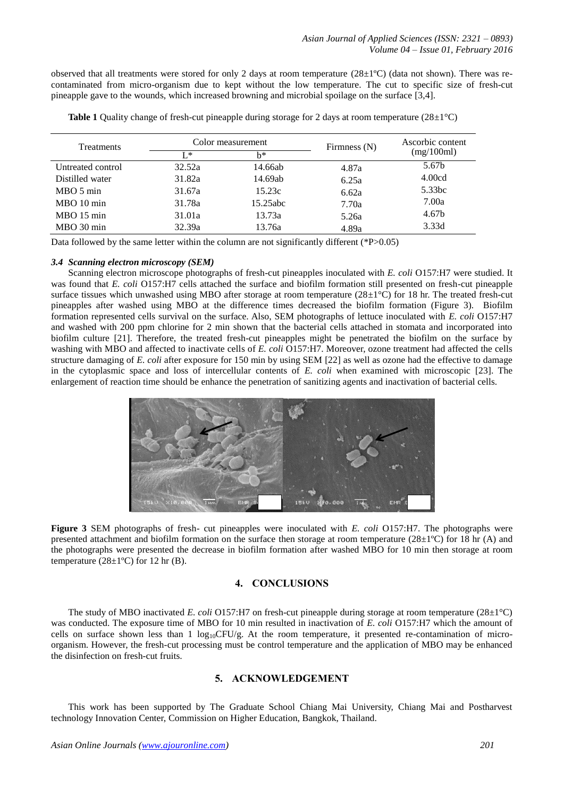observed that all treatments were stored for only 2 days at room temperature (28±1ºC) (data not shown). There was recontaminated from micro-organism due to kept without the low temperature. The cut to specific size of fresh-cut pineapple gave to the wounds, which increased browning and microbial spoilage on the surface [3,4].

| <b>Treatments</b> | Color measurement |             | Firmness (N) | Ascorbic content |
|-------------------|-------------------|-------------|--------------|------------------|
|                   | L*.               | h*          |              | (mg/100ml)       |
| Untreated control | 32.52a            | 14.66ab     | 4.87a        | 5.67b            |
| Distilled water   | 31.82a            | 14.69ab     | 6.25a        | 4.00cd           |
| $MBO5$ min        | 31.67a            | 15.23c      | 6.62a        | 5.33bc           |
| $MBO$ 10 min      | 31.78a            | $15.25$ abc | 7.70a        | 7.00a            |
| MBO 15 min        | 31.01a            | 13.73a      | 5.26a        | 4.67b            |
| MBO 30 min        | 32.39a            | 13.76a      | 4.89a        | 3.33d            |

**Table 1** Quality change of fresh-cut pineapple during storage for 2 days at room temperature  $(28\pm1^{\circ}C)$ 

Data followed by the same letter within the column are not significantly different (\*P>0.05)

## *3.4 Scanning electron microscopy (SEM)*

Scanning electron microscope photographs of fresh-cut pineapples inoculated with *E. coli* O157:H7 were studied. It was found that *E. coli* O157:H7 cells attached the surface and biofilm formation still presented on fresh-cut pineapple surface tissues which unwashed using MBO after storage at room temperature  $(28\pm1\degree C)$  for 18 hr. The treated fresh-cut pineapples after washed using MBO at the difference times decreased the biofilm formation (Figure 3). Biofilm formation represented cells survival on the surface. Also, SEM photographs of lettuce inoculated with *E. coli* O157:H7 and washed with 200 ppm chlorine for 2 min shown that the bacterial cells attached in stomata and incorporated into biofilm culture [21]. Therefore, the treated fresh-cut pineapples might be penetrated the biofilm on the surface by washing with MBO and affected to inactivate cells of *E. coli* O157:H7. Moreover, ozone treatment had affected the cells structure damaging of *E. coli* after exposure for 150 min by using SEM [22] as well as ozone had the effective to damage in the cytoplasmic space and loss of intercellular contents of *E. coli* when examined with microscopic [23]. The enlargement of reaction time should be enhance the penetration of sanitizing agents and inactivation of bacterial cells.



**Figure 3** SEM photographs of fresh- cut pineapples were inoculated with *E. coli* O157:H7. The photographs were presented attachment and biofilm formation on the surface then storage at room temperature ( $28\pm1^{\circ}$ C) for 18 hr (A) and the photographs were presented the decrease in biofilm formation after washed MBO for 10 min then storage at room temperature  $(28\pm1\textdegree C)$  for 12 hr (B).

## **4. CONCLUSIONS**

The study of MBO inactivated *E. coli* O157:H7 on fresh-cut pineapple during storage at room temperature (28±1°C) was conducted. The exposure time of MBO for 10 min resulted in inactivation of *E. coli* O157:H7 which the amount of cells on surface shown less than 1  $log_{10}CFU/g$ . At the room temperature, it presented re-contamination of microorganism. However, the fresh-cut processing must be control temperature and the application of MBO may be enhanced the disinfection on fresh-cut fruits.

## **5. ACKNOWLEDGEMENT**

This work has been supported by The Graduate School Chiang Mai University, Chiang Mai and Postharvest technology Innovation Center, Commission on Higher Education, Bangkok, Thailand.